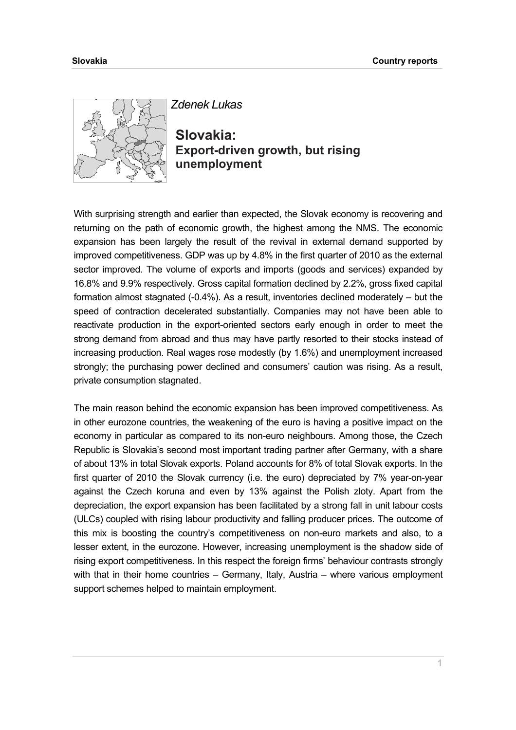

*Zdenek Lukas* 

**Slovakia: Export-driven growth, but rising unemployment** 

With surprising strength and earlier than expected, the Slovak economy is recovering and returning on the path of economic growth, the highest among the NMS. The economic expansion has been largely the result of the revival in external demand supported by improved competitiveness. GDP was up by 4.8% in the first quarter of 2010 as the external sector improved. The volume of exports and imports (goods and services) expanded by 16.8% and 9.9% respectively. Gross capital formation declined by 2.2%, gross fixed capital formation almost stagnated (-0.4%). As a result, inventories declined moderately – but the speed of contraction decelerated substantially. Companies may not have been able to reactivate production in the export-oriented sectors early enough in order to meet the strong demand from abroad and thus may have partly resorted to their stocks instead of increasing production. Real wages rose modestly (by 1.6%) and unemployment increased strongly; the purchasing power declined and consumers' caution was rising. As a result, private consumption stagnated.

The main reason behind the economic expansion has been improved competitiveness. As in other eurozone countries, the weakening of the euro is having a positive impact on the economy in particular as compared to its non-euro neighbours. Among those, the Czech Republic is Slovakia's second most important trading partner after Germany, with a share of about 13% in total Slovak exports. Poland accounts for 8% of total Slovak exports. In the first quarter of 2010 the Slovak currency (i.e. the euro) depreciated by 7% year-on-year against the Czech koruna and even by 13% against the Polish zloty. Apart from the depreciation, the export expansion has been facilitated by a strong fall in unit labour costs (ULCs) coupled with rising labour productivity and falling producer prices. The outcome of this mix is boosting the country's competitiveness on non-euro markets and also, to a lesser extent, in the eurozone. However, increasing unemployment is the shadow side of rising export competitiveness. In this respect the foreign firms' behaviour contrasts strongly with that in their home countries – Germany, Italy, Austria – where various employment support schemes helped to maintain employment.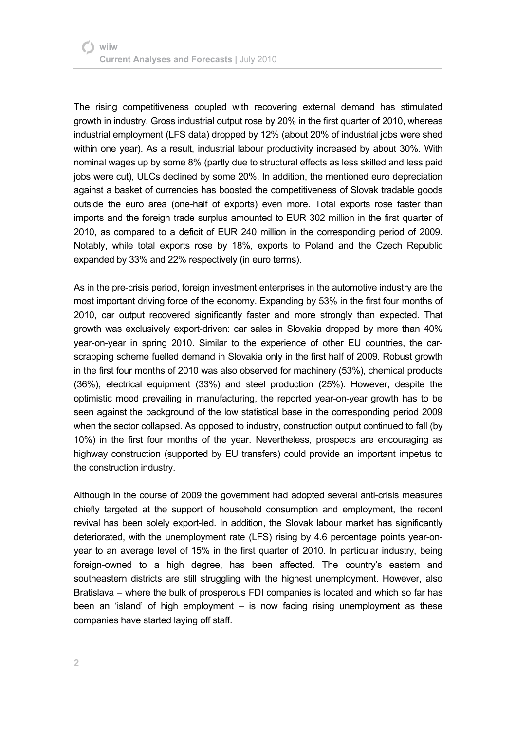The rising competitiveness coupled with recovering external demand has stimulated growth in industry. Gross industrial output rose by 20% in the first quarter of 2010, whereas industrial employment (LFS data) dropped by 12% (about 20% of industrial jobs were shed within one year). As a result, industrial labour productivity increased by about 30%. With nominal wages up by some 8% (partly due to structural effects as less skilled and less paid jobs were cut), ULCs declined by some 20%. In addition, the mentioned euro depreciation against a basket of currencies has boosted the competitiveness of Slovak tradable goods outside the euro area (one-half of exports) even more. Total exports rose faster than imports and the foreign trade surplus amounted to EUR 302 million in the first quarter of 2010, as compared to a deficit of EUR 240 million in the corresponding period of 2009. Notably, while total exports rose by 18%, exports to Poland and the Czech Republic expanded by 33% and 22% respectively (in euro terms).

As in the pre-crisis period, foreign investment enterprises in the automotive industry are the most important driving force of the economy. Expanding by 53% in the first four months of 2010, car output recovered significantly faster and more strongly than expected. That growth was exclusively export-driven: car sales in Slovakia dropped by more than 40% year-on-year in spring 2010. Similar to the experience of other EU countries, the carscrapping scheme fuelled demand in Slovakia only in the first half of 2009. Robust growth in the first four months of 2010 was also observed for machinery (53%), chemical products (36%), electrical equipment (33%) and steel production (25%). However, despite the optimistic mood prevailing in manufacturing, the reported year-on-year growth has to be seen against the background of the low statistical base in the corresponding period 2009 when the sector collapsed. As opposed to industry, construction output continued to fall (by 10%) in the first four months of the year. Nevertheless, prospects are encouraging as highway construction (supported by EU transfers) could provide an important impetus to the construction industry.

Although in the course of 2009 the government had adopted several anti-crisis measures chiefly targeted at the support of household consumption and employment, the recent revival has been solely export-led. In addition, the Slovak labour market has significantly deteriorated, with the unemployment rate (LFS) rising by 4.6 percentage points year-onyear to an average level of 15% in the first quarter of 2010. In particular industry, being foreign-owned to a high degree, has been affected. The country's eastern and southeastern districts are still struggling with the highest unemployment. However, also Bratislava – where the bulk of prosperous FDI companies is located and which so far has been an 'island' of high employment – is now facing rising unemployment as these companies have started laying off staff.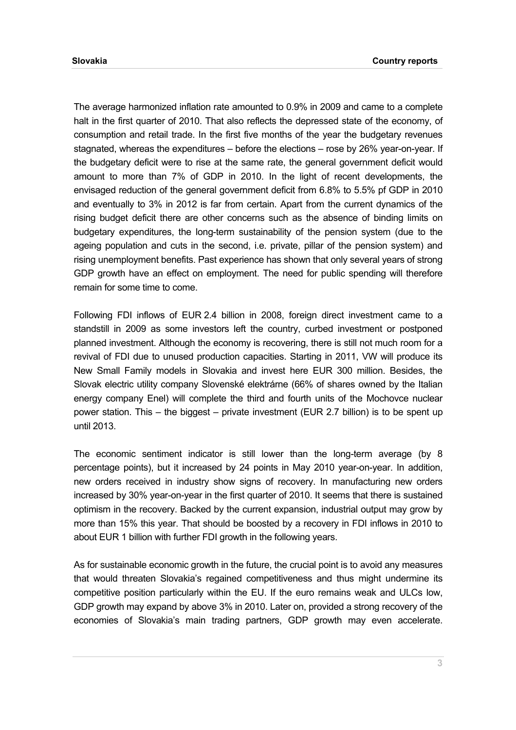The average harmonized inflation rate amounted to 0.9% in 2009 and came to a complete halt in the first quarter of 2010. That also reflects the depressed state of the economy, of consumption and retail trade. In the first five months of the year the budgetary revenues stagnated, whereas the expenditures – before the elections – rose by 26% year-on-year. If the budgetary deficit were to rise at the same rate, the general government deficit would amount to more than 7% of GDP in 2010. In the light of recent developments, the envisaged reduction of the general government deficit from 6.8% to 5.5% pf GDP in 2010 and eventually to 3% in 2012 is far from certain. Apart from the current dynamics of the rising budget deficit there are other concerns such as the absence of binding limits on budgetary expenditures, the long-term sustainability of the pension system (due to the ageing population and cuts in the second, i.e. private, pillar of the pension system) and rising unemployment benefits. Past experience has shown that only several years of strong GDP growth have an effect on employment. The need for public spending will therefore remain for some time to come.

Following FDI inflows of EUR 2.4 billion in 2008, foreign direct investment came to a standstill in 2009 as some investors left the country, curbed investment or postponed planned investment. Although the economy is recovering, there is still not much room for a revival of FDI due to unused production capacities. Starting in 2011, VW will produce its New Small Family models in Slovakia and invest here EUR 300 million. Besides, the Slovak electric utility company Slovenské elektrárne (66% of shares owned by the Italian energy company Enel) will complete the third and fourth units of the Mochovce nuclear power station. This – the biggest – private investment (EUR 2.7 billion) is to be spent up until 2013.

The economic sentiment indicator is still lower than the long-term average (by 8 percentage points), but it increased by 24 points in May 2010 year-on-year. In addition, new orders received in industry show signs of recovery. In manufacturing new orders increased by 30% year-on-year in the first quarter of 2010. It seems that there is sustained optimism in the recovery. Backed by the current expansion, industrial output may grow by more than 15% this year. That should be boosted by a recovery in FDI inflows in 2010 to about EUR 1 billion with further FDI growth in the following years.

As for sustainable economic growth in the future, the crucial point is to avoid any measures that would threaten Slovakia's regained competitiveness and thus might undermine its competitive position particularly within the EU. If the euro remains weak and ULCs low, GDP growth may expand by above 3% in 2010. Later on, provided a strong recovery of the economies of Slovakia's main trading partners, GDP growth may even accelerate.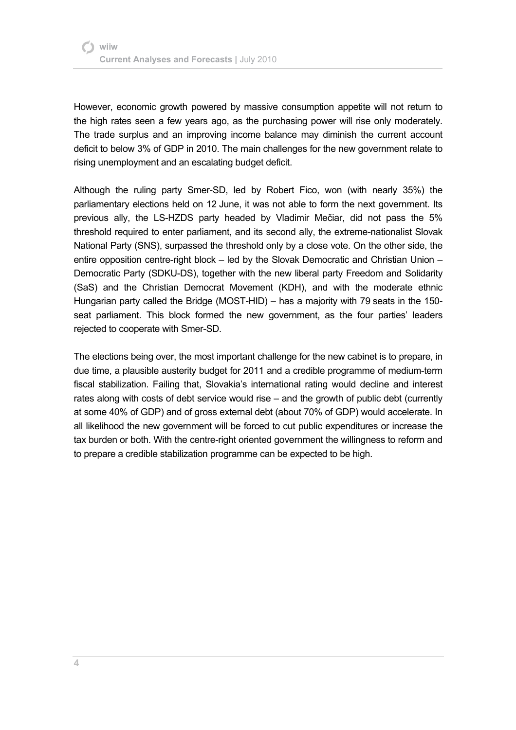However, economic growth powered by massive consumption appetite will not return to the high rates seen a few years ago, as the purchasing power will rise only moderately. The trade surplus and an improving income balance may diminish the current account deficit to below 3% of GDP in 2010. The main challenges for the new government relate to rising unemployment and an escalating budget deficit.

Although the ruling party Smer-SD, led by Robert Fico, won (with nearly 35%) the parliamentary elections held on 12 June, it was not able to form the next government. Its previous ally, the LS-HZDS party headed by Vladimir Mečiar, did not pass the 5% threshold required to enter parliament, and its second ally, the extreme-nationalist Slovak National Party (SNS), surpassed the threshold only by a close vote. On the other side, the entire opposition centre-right block – led by the Slovak Democratic and Christian Union – Democratic Party (SDKU-DS), together with the new liberal party Freedom and Solidarity (SaS) and the Christian Democrat Movement (KDH), and with the moderate ethnic Hungarian party called the Bridge (MOST-HID) – has a majority with 79 seats in the 150 seat parliament. This block formed the new government, as the four parties' leaders rejected to cooperate with Smer-SD.

The elections being over, the most important challenge for the new cabinet is to prepare, in due time, a plausible austerity budget for 2011 and a credible programme of medium-term fiscal stabilization. Failing that, Slovakia's international rating would decline and interest rates along with costs of debt service would rise – and the growth of public debt (currently at some 40% of GDP) and of gross external debt (about 70% of GDP) would accelerate. In all likelihood the new government will be forced to cut public expenditures or increase the tax burden or both. With the centre-right oriented government the willingness to reform and to prepare a credible stabilization programme can be expected to be high.